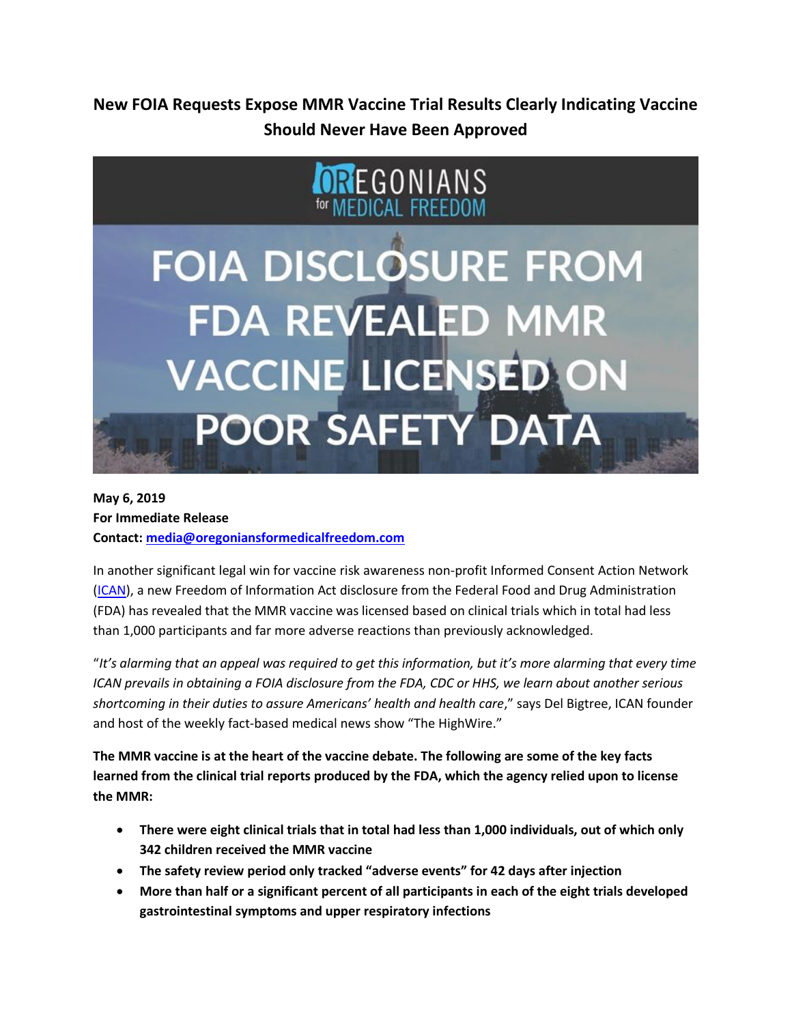**New FOIA Requests Expose MMR Vaccine Trial Results Clearly Indicating Vaccine Should Never Have Been Approved**



# **May 6, 2019 For Immediate Release Contact: [media@oregoniansformedicalfreedom.com](mailto:media@oregoniansformedicalfreedom.com)**

In another significant legal win for vaccine risk awareness non-profit Informed Consent Action Network [\(ICAN\)](https://icandecide.org/governments/), a new Freedom of Information Act disclosure from the Federal Food and Drug Administration (FDA) has revealed that the MMR vaccine was licensed based on clinical trials which in total had less than 1,000 participants and far more adverse reactions than previously acknowledged.

"*It's alarming that an appeal was required to get this information, but it's more alarming that every time ICAN prevails in obtaining a FOIA disclosure from the FDA, CDC or HHS, we learn about another serious shortcoming in their duties to assure Americans' health and health care*," says Del Bigtree, ICAN founder and host of the weekly fact-based medical news show "The HighWire."

**The MMR vaccine is at the heart of the vaccine debate. The following are some of the key facts learned from the clinical trial reports produced by the FDA, which the agency relied upon to license the MMR:**

- **There were eight clinical trials that in total had less than 1,000 individuals, out of which only 342 children received the MMR vaccine**
- **The safety review period only tracked "adverse events" for 42 days after injection**
- **More than half or a significant percent of all participants in each of the eight trials developed gastrointestinal symptoms and upper respiratory infections**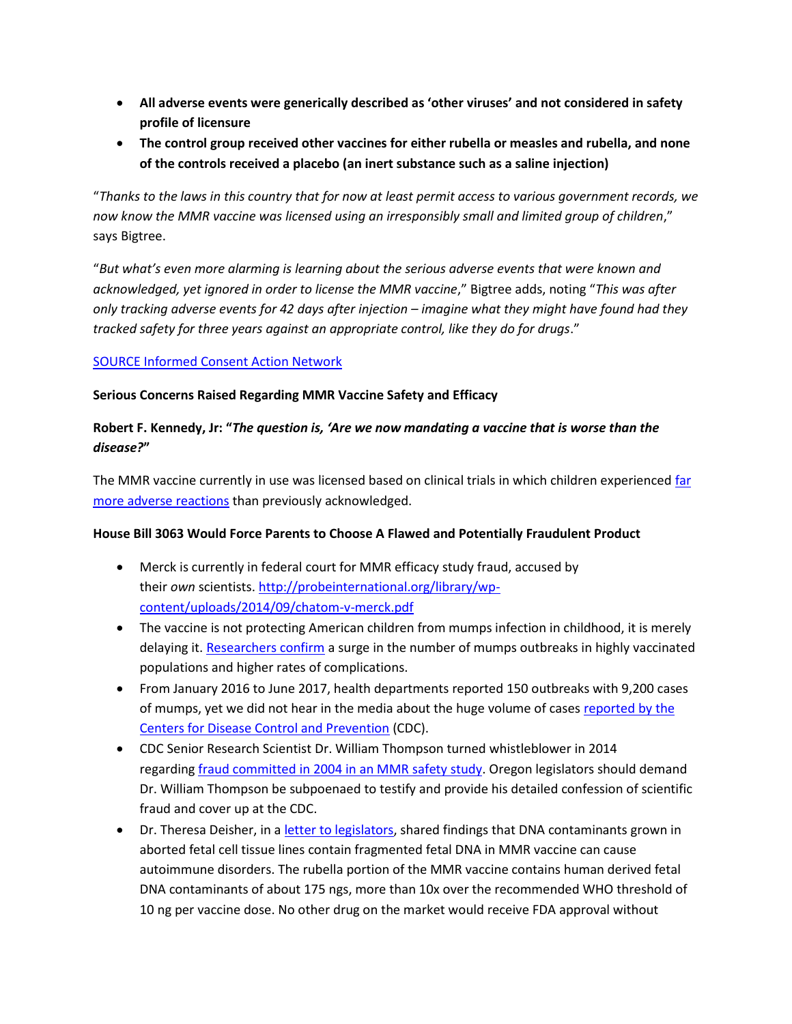- **All adverse events were generically described as 'other viruses' and not considered in safety profile of licensure**
- **The control group received other vaccines for either rubella or measles and rubella, and none of the controls received a placebo (an inert substance such as a saline injection)**

"*Thanks to the laws in this country that for now at least permit access to various government records, we now know the MMR vaccine was licensed using an irresponsibly small and limited group of children*," says Bigtree.

"*But what's even more alarming is learning about the serious adverse events that were known and acknowledged, yet ignored in order to license the MMR vaccine*," Bigtree adds, noting "*This was after only tracking adverse events for 42 days after injection – imagine what they might have found had they tracked safety for three years against an appropriate control, like they do for drugs*."

### [SOURCE Informed Consent Action Network](https://icandecide.org/governments/)

#### **Serious Concerns Raised Regarding MMR Vaccine Safety and Efficacy**

## **Robert F. Kennedy, Jr: "***The question is, 'Are we now mandating a vaccine that is worse than the disease?***"**

The MMR vaccine currently in use was licensed based on clinical trials in which children experienced far [more adverse reactions](https://finance.yahoo.com/news/mmr-vaccine-licensing-called-following-131500482.html?fbclid=IwAR1gFX0QyE1ImxNHx5cfatOyIUoQp16QNyRsWyJmnMiJqGkaPOyui_StG4Q) than previously acknowledged.

#### **House Bill 3063 Would Force Parents to Choose A Flawed and Potentially Fraudulent Product**

- Merck is currently in federal court for MMR efficacy study fraud, accused by their *own* scientists. [http://probeinternational.org/library/wp](http://probeinternational.org/library/wp-content/uploads/2014/09/chatom-v-merck.pdf)[content/uploads/2014/09/chatom-v-merck.pdf](http://probeinternational.org/library/wp-content/uploads/2014/09/chatom-v-merck.pdf)
- The vaccine is not protecting American children from mumps infection in childhood, it is merely delaying it. [Researchers confirm](https://www.sciencedirect.com/science/article/pii/S0264410X19302257) a surge in the number of mumps outbreaks in highly vaccinated populations and higher rates of complications.
- From January 2016 to June 2017, health departments reported 150 outbreaks with 9,200 cases of mumps, yet we did not hear in the media about the huge volume of cases [reported by the](https://www.cdc.gov/mumps/outbreaks.html)  [Centers for Disease Control and Prevention](https://www.cdc.gov/mumps/outbreaks.html) (CDC).
- CDC Senior Research Scientist Dr. William Thompson turned whistleblower in 2014 regarding [fraud committed in 2004 in an MMR safety study.](https://www.c-span.org/video/?c4546421/rep-bill-posey-calling-investigation-cdcs-mmr-reasearch-fraud) Oregon legislators should demand Dr. William Thompson be subpoenaed to testify and provide his detailed confession of scientific fraud and cover up at the CDC.
- Dr. Theresa Deisher, in a [letter to legislators,](https://www.informedchoicewa.org/wp-content/uploads/2019/04/web2.SCPI_.Deisher.OpenLetter.pdf) shared findings that DNA contaminants grown in aborted fetal cell tissue lines contain fragmented fetal DNA in MMR vaccine can cause autoimmune disorders. The rubella portion of the MMR vaccine contains human derived fetal DNA contaminants of about 175 ngs, more than 10x over the recommended WHO threshold of 10 ng per vaccine dose. No other drug on the market would receive FDA approval without